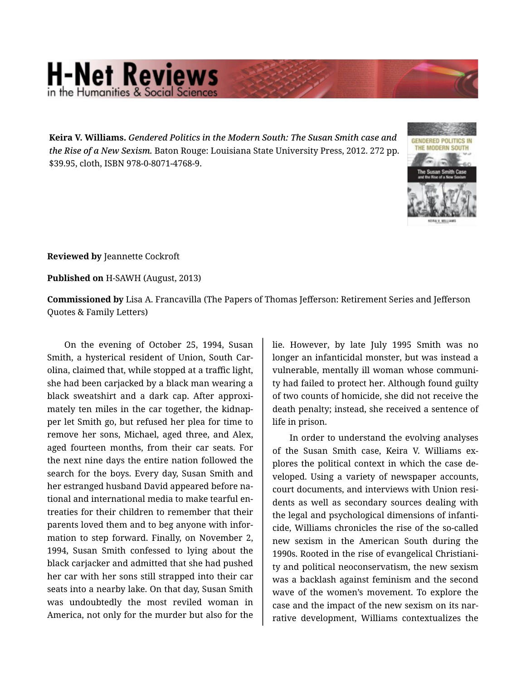## **H-Net Reviews** in the Humanities & Social Scie

**Keira V. Williams.** *Gendered Politics in the Modern South: The Susan Smith case and the Rise of a New Sexism.* Baton Rouge: Louisiana State University Press, 2012. 272 pp. \$39.95, cloth, ISBN 978-0-8071-4768-9.



**Reviewed by** Jeannette Cockroft

**Published on** H-SAWH (August, 2013)

**Commissioned by** Lisa A. Francavilla (The Papers of Thomas Jefferson: Retirement Series and Jefferson Quotes & Family Letters)

On the evening of October 25, 1994, Susan Smith, a hysterical resident of Union, South Car‐ olina, claimed that, while stopped at a traffic light, she had been carjacked by a black man wearing a black sweatshirt and a dark cap. After approximately ten miles in the car together, the kidnap‐ per let Smith go, but refused her plea for time to remove her sons, Michael, aged three, and Alex, aged fourteen months, from their car seats. For the next nine days the entire nation followed the search for the boys. Every day, Susan Smith and her estranged husband David appeared before na‐ tional and international media to make tearful en‐ treaties for their children to remember that their parents loved them and to beg anyone with infor‐ mation to step forward. Finally, on November 2, 1994, Susan Smith confessed to lying about the black carjacker and admitted that she had pushed her car with her sons still strapped into their car seats into a nearby lake. On that day, Susan Smith was undoubtedly the most reviled woman in America, not only for the murder but also for the

lie. However, by late July 1995 Smith was no longer an infanticidal monster, but was instead a vulnerable, mentally ill woman whose communi‐ ty had failed to protect her. Although found guilty of two counts of homicide, she did not receive the death penalty; instead, she received a sentence of life in prison.

In order to understand the evolving analyses of the Susan Smith case, Keira V. Williams ex‐ plores the political context in which the case de‐ veloped. Using a variety of newspaper accounts, court documents, and interviews with Union resi‐ dents as well as secondary sources dealing with the legal and psychological dimensions of infanti‐ cide, Williams chronicles the rise of the so-called new sexism in the American South during the 1990s. Rooted in the rise of evangelical Christiani‐ ty and political neoconservatism, the new sexism was a backlash against feminism and the second wave of the women's movement. To explore the case and the impact of the new sexism on its nar‐ rative development, Williams contextualizes the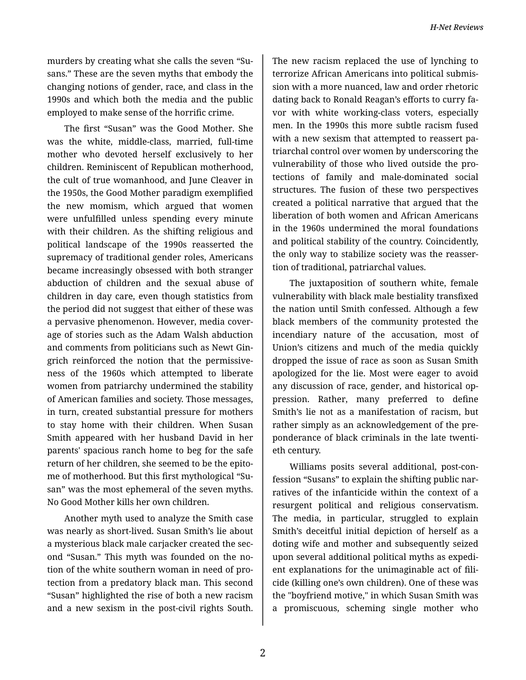murders by creating what she calls the seven "Su‐ sans." These are the seven myths that embody the changing notions of gender, race, and class in the 1990s and which both the media and the public employed to make sense of the horrific crime.

The first "Susan" was the Good Mother. She was the white, middle-class, married, full-time mother who devoted herself exclusively to her children. Reminiscent of Republican motherhood, the cult of true womanhood, and June Cleaver in the 1950s, the Good Mother paradigm exemplified the new momism, which argued that women were unfulfilled unless spending every minute with their children. As the shifting religious and political landscape of the 1990s reasserted the supremacy of traditional gender roles, Americans became increasingly obsessed with both stranger abduction of children and the sexual abuse of children in day care, even though statistics from the period did not suggest that either of these was a pervasive phenomenon. However, media cover‐ age of stories such as the Adam Walsh abduction and comments from politicians such as Newt Gin‐ grich reinforced the notion that the permissive‐ ness of the 1960s which attempted to liberate women from patriarchy undermined the stability of American families and society. Those messages, in turn, created substantial pressure for mothers to stay home with their children. When Susan Smith appeared with her husband David in her parents' spacious ranch home to beg for the safe return of her children, she seemed to be the epito‐ me of motherhood. But this first mythological "Su‐ san" was the most ephemeral of the seven myths. No Good Mother kills her own children.

Another myth used to analyze the Smith case was nearly as short-lived. Susan Smith's lie about a mysterious black male carjacker created the sec‐ ond "Susan." This myth was founded on the no‐ tion of the white southern woman in need of pro‐ tection from a predatory black man. This second "Susan" highlighted the rise of both a new racism and a new sexism in the post-civil rights South.

The new racism replaced the use of lynching to terrorize African Americans into political submis‐ sion with a more nuanced, law and order rhetoric dating back to Ronald Reagan's efforts to curry fa‐ vor with white working-class voters, especially men. In the 1990s this more subtle racism fused with a new sexism that attempted to reassert pa‐ triarchal control over women by underscoring the vulnerability of those who lived outside the pro‐ tections of family and male-dominated social structures. The fusion of these two perspectives created a political narrative that argued that the liberation of both women and African Americans in the 1960s undermined the moral foundations and political stability of the country. Coincidently, the only way to stabilize society was the reasser‐ tion of traditional, patriarchal values.

The juxtaposition of southern white, female vulnerability with black male bestiality transfixed the nation until Smith confessed. Although a few black members of the community protested the incendiary nature of the accusation, most of Union's citizens and much of the media quickly dropped the issue of race as soon as Susan Smith apologized for the lie. Most were eager to avoid any discussion of race, gender, and historical op‐ pression. Rather, many preferred to define Smith's lie not as a manifestation of racism, but rather simply as an acknowledgement of the pre‐ ponderance of black criminals in the late twenti‐ eth century.

Williams posits several additional, post-con‐ fession "Susans" to explain the shifting public nar‐ ratives of the infanticide within the context of a resurgent political and religious conservatism. The media, in particular, struggled to explain Smith's deceitful initial depiction of herself as a doting wife and mother and subsequently seized upon several additional political myths as expedi‐ ent explanations for the unimaginable act of fili‐ cide (killing one's own children). One of these was the "boyfriend motive," in which Susan Smith was a promiscuous, scheming single mother who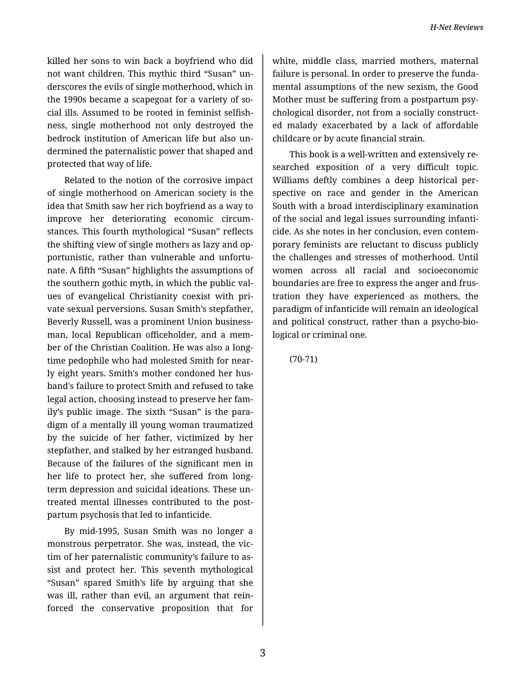killed her sons to win back a boyfriend who did not want children. This mythic third "Susan" un‐ derscores the evils of single motherhood, which in the 1990s became a scapegoat for a variety of so‐ cial ills. Assumed to be rooted in feminist selfish‐ ness, single motherhood not only destroyed the bedrock institution of American life but also un‐ dermined the paternalistic power that shaped and protected that way of life.

Related to the notion of the corrosive impact of single motherhood on American society is the idea that Smith saw her rich boyfriend as a way to improve her deteriorating economic circum‐ stances. This fourth mythological "Susan" reflects the shifting view of single mothers as lazy and op‐ portunistic, rather than vulnerable and unfortunate. A fifth "Susan" highlights the assumptions of the southern gothic myth, in which the public val‐ ues of evangelical Christianity coexist with pri‐ vate sexual perversions. Susan Smith's stepfather, Beverly Russell, was a prominent Union business‐ man, local Republican officeholder, and a mem‐ ber of the Christian Coalition. He was also a longtime pedophile who had molested Smith for near‐ ly eight years. Smith's mother condoned her hus‐ band's failure to protect Smith and refused to take legal action, choosing instead to preserve her fam‐ ily's public image. The sixth "Susan" is the para‐ digm of a mentally ill young woman traumatized by the suicide of her father, victimized by her stepfather, and stalked by her estranged husband. Because of the failures of the significant men in her life to protect her, she suffered from longterm depression and suicidal ideations. These un‐ treated mental illnesses contributed to the post‐ partum psychosis that led to infanticide.

By mid-1995, Susan Smith was no longer a monstrous perpetrator. She was, instead, the vic‐ tim of her paternalistic community's failure to as‐ sist and protect her. This seventh mythological "Susan" spared Smith's life by arguing that she was ill, rather than evil, an argument that rein‐ forced the conservative proposition that for

white, middle class, married mothers, maternal failure is personal. In order to preserve the funda‐ mental assumptions of the new sexism, the Good Mother must be suffering from a postpartum psy‐ chological disorder, not from a socially construct‐ ed malady exacerbated by a lack of affordable childcare or by acute financial strain.

This book is a well-written and extensively re‐ searched exposition of a very difficult topic. Williams deftly combines a deep historical per‐ spective on race and gender in the American South with a broad interdisciplinary examination of the social and legal issues surrounding infanti‐ cide. As she notes in her conclusion, even contem‐ porary feminists are reluctant to discuss publicly the challenges and stresses of motherhood. Until women across all racial and socioeconomic boundaries are free to express the anger and frus‐ tration they have experienced as mothers, the paradigm of infanticide will remain an ideological and political construct, rather than a psycho-bio‐ logical or criminal one.

(70-71)